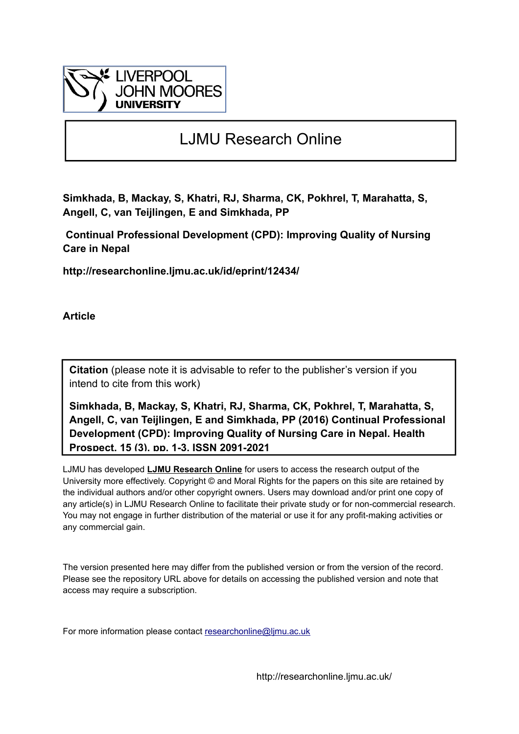

# LJMU Research Online

**Simkhada, B, Mackay, S, Khatri, RJ, Sharma, CK, Pokhrel, T, Marahatta, S, Angell, C, van Teijlingen, E and Simkhada, PP**

 **Continual Professional Development (CPD): Improving Quality of Nursing Care in Nepal**

**http://researchonline.ljmu.ac.uk/id/eprint/12434/**

**Article**

**Citation** (please note it is advisable to refer to the publisher's version if you intend to cite from this work)

**Simkhada, B, Mackay, S, Khatri, RJ, Sharma, CK, Pokhrel, T, Marahatta, S, Angell, C, van Teijlingen, E and Simkhada, PP (2016) Continual Professional Development (CPD): Improving Quality of Nursing Care in Nepal. Health Prospect, 15 (3). pp. 1-3. ISSN 2091-2021** 

LJMU has developed **[LJMU Research Online](http://researchonline.ljmu.ac.uk/)** for users to access the research output of the University more effectively. Copyright © and Moral Rights for the papers on this site are retained by the individual authors and/or other copyright owners. Users may download and/or print one copy of any article(s) in LJMU Research Online to facilitate their private study or for non-commercial research. You may not engage in further distribution of the material or use it for any profit-making activities or any commercial gain.

The version presented here may differ from the published version or from the version of the record. Please see the repository URL above for details on accessing the published version and note that access may require a subscription.

For more information please contact researchonline@limu.ac.uk

http://researchonline.ljmu.ac.uk/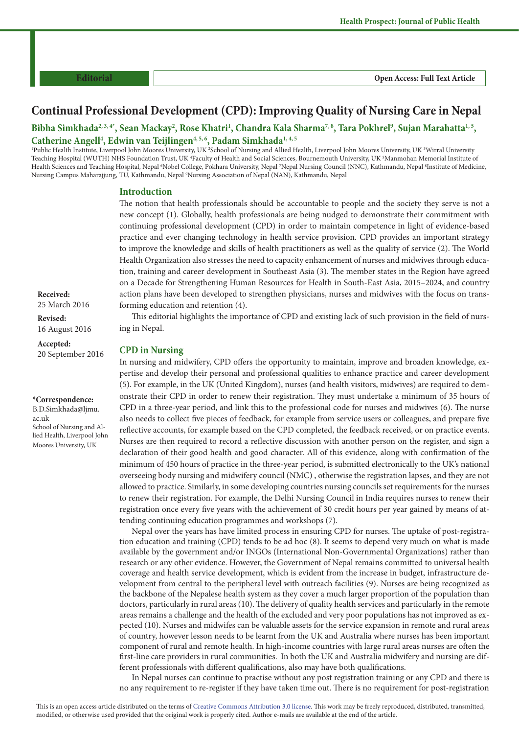**Editorial Open Access: Full Text Article**

# **Continual Professional Development (CPD): Improving Quality of Nursing Care in Nepal**

Bibha Simkhada<sup>2, 3, 4\*</sup>, Sean Mackay<sup>2</sup>, Rose Khatri<sup>1</sup>, Chandra Kala Sharma<sup>7, 8</sup>, Tara Pokhrel<sup>9</sup>, Sujan Marahatta<sup>1, 5</sup>, Catherine Angell<sup>4</sup>, Edwin van Teijlingen<sup>4, 5, 6</sup>, Padam Simkhada<sup>1, 4, 5</sup>

<sup>1</sup>Public Health Institute, Liverpool John Moores University, UK <sup>2</sup>School of Nursing and Allied Health, Liverpool John Moores University, UK <sup>3</sup>Wirral University Teaching Hospital (WUTH) NHS Foundation Trust, UK <sup>4</sup>Faculty of Health and Social Sciences, Bournemouth University, UK <sup>5</sup>Manmohan Memorial Institute of Health Sciences and Teaching Hospital, Nepal <sup>6</sup>Nobel College, Pokhara University, Nepal <sup>7</sup>Nepal Nursing Council (NNC), Kathmandu, Nepal <sup>8</sup>Institute of Medicine, Nursing Campus Maharajjung, TU, Kathmandu, Nepal <sup>9</sup>Nursing Association of Nepal (NAN), Kathmandu, Nepal

#### **Introduction**

The notion that health professionals should be accountable to people and the society they serve is not a new concept (1). Globally, health professionals are being nudged to demonstrate their commitment with continuing professional development (CPD) in order to maintain competence in light of evidence-based practice and ever changing technology in health service provision. CPD provides an important strategy to improve the knowledge and skills of health practitioners as well as the quality of service (2). The World Health Organization also stresses the need to capacity enhancement of nurses and midwives through education, training and career development in Southeast Asia (3). The member states in the Region have agreed on a Decade for Strengthening Human Resources for Health in South-East Asia, 2015–2024, and country action plans have been developed to strengthen physicians, nurses and midwives with the focus on transforming education and retention (4).

This editorial highlights the importance of CPD and existing lack of such provision in the field of nursing in Nepal.

#### **CPD in Nursing**

In nursing and midwifery, CPD offers the opportunity to maintain, improve and broaden knowledge, expertise and develop their personal and professional qualities to enhance practice and career development (5). For example, in the UK (United Kingdom), nurses (and health visitors, midwives) are required to demonstrate their CPD in order to renew their registration. They must undertake a minimum of 35 hours of CPD in a three-year period, and link this to the professional code for nurses and midwives (6). The nurse also needs to collect five pieces of feedback, for example from service users or colleagues, and prepare five reflective accounts, for example based on the CPD completed, the feedback received, or on practice events. Nurses are then required to record a reflective discussion with another person on the register, and sign a declaration of their good health and good character. All of this evidence, along with confirmation of the minimum of 450 hours of practice in the three-year period, is submitted electronically to the UK's national overseeing body nursing and midwifery council (NMC) , otherwise the registration lapses, and they are not allowed to practice. Similarly, in some developing countries nursing councils set requirements for the nurses to renew their registration. For example, the Delhi Nursing Council in India requires nurses to renew their registration once every five years with the achievement of 30 credit hours per year gained by means of attending continuing education programmes and workshops (7).

Nepal over the years has have limited process in ensuring CPD for nurses. The uptake of post-registration education and training (CPD) tends to be ad hoc (8). It seems to depend very much on what is made available by the government and/or INGOs (International Non-Governmental Organizations) rather than research or any other evidence. However, the Government of Nepal remains committed to universal health coverage and health service development, which is evident from the increase in budget, infrastructure development from central to the peripheral level with outreach facilities (9). Nurses are being recognized as the backbone of the Nepalese health system as they cover a much larger proportion of the population than doctors, particularly in rural areas (10). The delivery of quality health services and particularly in the remote areas remains a challenge and the health of the excluded and very poor populations has not improved as expected (10). Nurses and midwifes can be valuable assets for the service expansion in remote and rural areas of country, however lesson needs to be learnt from the UK and Australia where nurses has been important component of rural and remote health. In high-income countries with large rural areas nurses are often the first-line care providers in rural communities. In both the UK and Australia midwifery and nursing are different professionals with different qualifications, also may have both qualifications.

In Nepal nurses can continue to practise without any post registration training or any CPD and there is no any requirement to re-register if they have taken time out. There is no requirement for post-registration

**Revised:** 16 August 2016

**Accepted:**  20 September 2016

#### **\*Correspondence:**

B.D.Simkhada@ljmu. ac.uk School of Nursing and Allied Health, Liverpool John Moores University, UK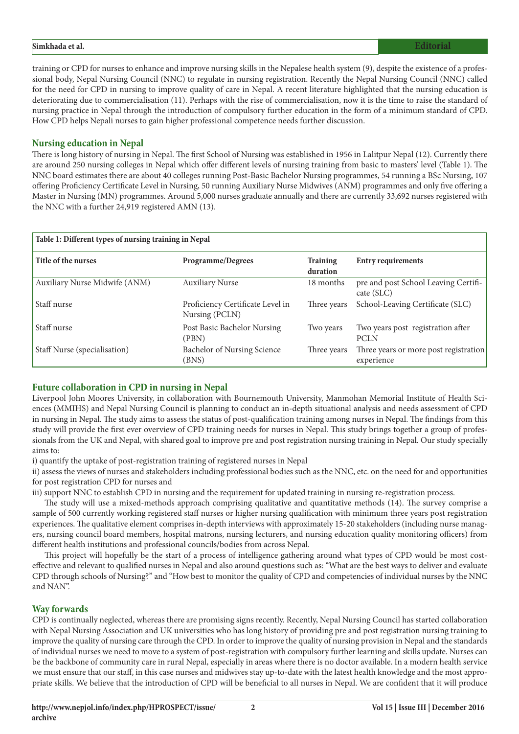## **Simkhada et al. Editorial**

training or CPD for nurses to enhance and improve nursing skills in the Nepalese health system (9), despite the existence of a professional body, Nepal Nursing Council (NNC) to regulate in nursing registration. Recently the Nepal Nursing Council (NNC) called for the need for CPD in nursing to improve quality of care in Nepal. A recent literature highlighted that the nursing education is deteriorating due to commercialisation (11). Perhaps with the rise of commercialisation, now it is the time to raise the standard of nursing practice in Nepal through the introduction of compulsory further education in the form of a minimum standard of CPD. How CPD helps Nepali nurses to gain higher professional competence needs further discussion.

# **Nursing education in Nepal**

There is long history of nursing in Nepal. The first School of Nursing was established in 1956 in Lalitpur Nepal (12). Currently there are around 250 nursing colleges in Nepal which offer different levels of nursing training from basic to masters' level (Table 1). The NNC board estimates there are about 40 colleges running Post-Basic Bachelor Nursing programmes, 54 running a BSc Nursing, 107 offering Proficiency Certificate Level in Nursing, 50 running Auxiliary Nurse Midwives (ANM) programmes and only five offering a Master in Nursing (MN) programmes. Around 5,000 nurses graduate annually and there are currently 33,692 nurses registered with the NNC with a further 24,919 registered AMN (13).

| Table 1: Different types of nursing training in Nepal |                                                    |                             |                                                     |  |  |  |  |  |
|-------------------------------------------------------|----------------------------------------------------|-----------------------------|-----------------------------------------------------|--|--|--|--|--|
| Title of the nurses                                   | <b>Programme/Degrees</b>                           | <b>Training</b><br>duration | <b>Entry requirements</b>                           |  |  |  |  |  |
| Auxiliary Nurse Midwife (ANM)                         | <b>Auxiliary Nurse</b>                             | 18 months                   | pre and post School Leaving Certifi-<br>cate (SLC)  |  |  |  |  |  |
| Staff nurse                                           | Proficiency Certificate Level in<br>Nursing (PCLN) | Three years                 | School-Leaving Certificate (SLC)                    |  |  |  |  |  |
| Staff nurse                                           | Post Basic Bachelor Nursing<br>(PBN)               | Two years                   | Two years post registration after<br><b>PCLN</b>    |  |  |  |  |  |
| Staff Nurse (specialisation)                          | Bachelor of Nursing Science<br>(BNS)               | Three years                 | Three years or more post registration<br>experience |  |  |  |  |  |

# **Future collaboration in CPD in nursing in Nepal**

Liverpool John Moores University, in collaboration with Bournemouth University, Manmohan Memorial Institute of Health Sciences (MMIHS) and Nepal Nursing Council is planning to conduct an in-depth situational analysis and needs assessment of CPD in nursing in Nepal. The study aims to assess the status of post-qualification training among nurses in Nepal. The findings from this study will provide the first ever overview of CPD training needs for nurses in Nepal. This study brings together a group of professionals from the UK and Nepal, with shared goal to improve pre and post registration nursing training in Nepal. Our study specially aims to:

i) quantify the uptake of post-registration training of registered nurses in Nepal

ii) assess the views of nurses and stakeholders including professional bodies such as the NNC, etc. on the need for and opportunities for post registration CPD for nurses and

iii) support NNC to establish CPD in nursing and the requirement for updated training in nursing re-registration process.

The study will use a mixed-methods approach comprising qualitative and quantitative methods (14). The survey comprise a sample of 500 currently working registered staff nurses or higher nursing qualification with minimum three years post registration experiences. The qualitative element comprises in-depth interviews with approximately 15-20 stakeholders (including nurse managers, nursing council board members, hospital matrons, nursing lecturers, and nursing education quality monitoring officers) from different health institutions and professional councils/bodies from across Nepal.

This project will hopefully be the start of a process of intelligence gathering around what types of CPD would be most costeffective and relevant to qualified nurses in Nepal and also around questions such as: "What are the best ways to deliver and evaluate CPD through schools of Nursing?" and "How best to monitor the quality of CPD and competencies of individual nurses by the NNC and NAN".

## **Way forwards**

CPD is continually neglected, whereas there are promising signs recently. Recently, Nepal Nursing Council has started collaboration with Nepal Nursing Association and UK universities who has long history of providing pre and post registration nursing training to improve the quality of nursing care through the CPD. In order to improve the quality of nursing provision in Nepal and the standards of individual nurses we need to move to a system of post-registration with compulsory further learning and skills update. Nurses can be the backbone of community care in rural Nepal, especially in areas where there is no doctor available. In a modern health service we must ensure that our staff, in this case nurses and midwives stay up-to-date with the latest health knowledge and the most appropriate skills. We believe that the introduction of CPD will be beneficial to all nurses in Nepal. We are confident that it will produce